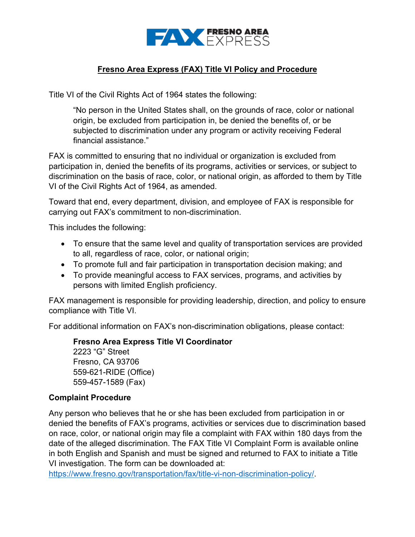

## **Fresno Area Express (FAX) Title VI Policy and Procedure**

Title VI of the Civil Rights Act of 1964 states the following:

 "No person in the United States shall, on the grounds of race, color or national subjected to discrimination under any program or activity receiving Federal origin, be excluded from participation in, be denied the benefits of, or be financial assistance."

 participation in, denied the benefits of its programs, activities or services, or subject to VI of the Civil Rights Act of 1964, as amended. FAX is committed to ensuring that no individual or organization is excluded from discrimination on the basis of race, color, or national origin, as afforded to them by Title

Toward that end, every department, division, and employee of FAX is responsible for carrying out FAX's commitment to non-discrimination.

This includes the following:

- • To ensure that the same level and quality of transportation services are provided to all, regardless of race, color, or national origin;
- To promote full and fair participation in transportation decision making; and
- persons with limited English proficiency. • To provide meaningful access to FAX services, programs, and activities by

FAX management is responsible for providing leadership, direction, and policy to ensure compliance with Title VI.

For additional information on FAX's non-discrimination obligations, please contact:

 **Fresno Area Express Title VI Coordinator**  Fresno, CA 93706 2223 "G" Street 559-621-RIDE (Office)

## **Complaint Procedure**

559-457-1589 (Fax)

 date of the alleged discrimination. The FAX Title VI Complaint Form is available online Any person who believes that he or she has been excluded from participation in or denied the benefits of FAX's programs, activities or services due to discrimination based on race, color, or national origin may file a complaint with FAX within 180 days from the in both English and Spanish and must be signed and returned to FAX to initiate a Title VI investigation. The form can be downloaded at:

[https://www.fresno.gov/transportation/fax/title-vi-non-discrimination-policy/.](https://www.fresno.gov/transportation/fax/title-vi-non-discrimination-policy/)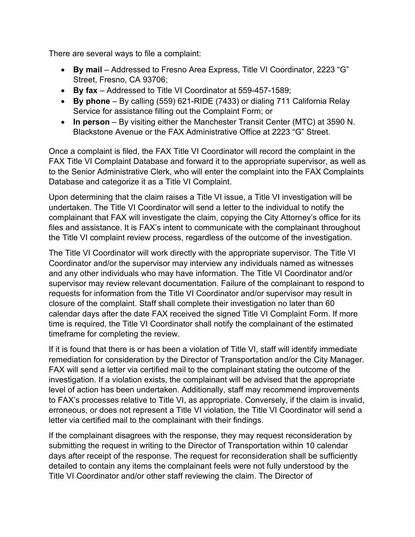There are several ways to file a complaint:

- • **By mail**  Addressed to Fresno Area Express, Title VI Coordinator, 2223 "G" Street, Fresno, CA 93706;
- **By fax**  Addressed to Title VI Coordinator at 559-457-1589;
- • **By phone**  By calling (559) 621-RIDE (7433) or dialing 711 California Relay Service for assistance filling out the Complaint Form; or
- Blackstone Avenue or the FAX Administrative Office at 2223 "G" Street. • In person – By visiting either the Manchester Transit Center (MTC) at 3590 N.

 FAX Title VI Complaint Database and forward it to the appropriate supervisor, as well as Once a complaint is filed, the FAX Title VI Coordinator will record the complaint in the to the Senior Administrative Clerk, who will enter the complaint into the FAX Complaints Database and categorize it as a Title VI Complaint.

 the Title VI complaint review process, regardless of the outcome of the investigation. Upon determining that the claim raises a Title VI issue, a Title VI investigation will be undertaken. The Title VI Coordinator will send a letter to the individual to notify the complainant that FAX will investigate the claim, copying the City Attorney's office for its files and assistance. It is FAX's intent to communicate with the complainant throughout

 and any other individuals who may have information. The Title VI Coordinator and/or supervisor may review relevant documentation. Failure of the complainant to respond to timeframe for completing the review. The Title VI Coordinator will work directly with the appropriate supervisor. The Title VI Coordinator and/or the supervisor may interview any individuals named as witnesses requests for information from the Title VI Coordinator and/or supervisor may result in closure of the complaint. Staff shall complete their investigation no later than 60 calendar days after the date FAX received the signed Title VI Complaint Form. If more time is required, the Title VI Coordinator shall notify the complainant of the estimated

 investigation. If a violation exists, the complainant will be advised that the appropriate If it is found that there is or has been a violation of Title VI, staff will identify immediate remediation for consideration by the Director of Transportation and/or the City Manager. FAX will send a letter via certified mail to the complainant stating the outcome of the level of action has been undertaken. Additionally, staff may recommend improvements to FAX's processes relative to Title VI, as appropriate. Conversely, if the claim is invalid, erroneous, or does not represent a Title VI violation, the Title VI Coordinator will send a letter via certified mail to the complainant with their findings.

If the complainant disagrees with the response, they may request reconsideration by submitting the request in writing to the Director of Transportation within 10 calendar days after receipt of the response. The request for reconsideration shall be sufficiently detailed to contain any items the complainant feels were not fully understood by the Title VI Coordinator and/or other staff reviewing the claim. The Director of